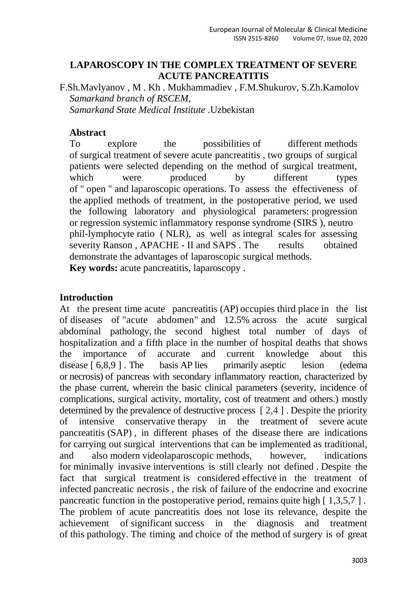## **LAPAROSCOPY IN THE COMPLEX TREATMENT OF SEVERE ACUTE PANCREATITIS**

F.Sh.Mavlyanov , M . Kh . Mukhammadiev , F.M.Shukurov, S.Zh.Kamolov *Samarkand branch of RSCEM, Samarkand State Medical Institute .*Uzbekistan

## **Abstract**

To explore the possibilities of different methods of surgical treatment of severe acute pancreatitis , two groups of surgical patients were selected depending on the method of surgical treatment, which were produced by different types of " open " and laparoscopic operations. To assess the effectiveness of the applied methods of treatment, in the postoperative period, we used the following laboratory and physiological parameters: progression or regression systemic inflammatory response syndrome (SIRS ), neutro phil-lymphocyte ratio ( NLR), as well as integral scales for assessing severity Ranson, APACHE - II and SAPS. The results obtained demonstrate the advantages of laparoscopic surgical methods. **Key words:** acute pancreatitis, laparoscopy .

#### **Introduction**

At the present time acute pancreatitis (AP) occupies third place in the list of diseases of "acute abdomen" and 12.5% across the acute surgical abdominal pathology, the second highest total number of days of hospitalization and a fifth place in the number of hospital deaths that shows the importance of accurate and current knowledge about this disease [ 6,8,9 ]. The basis AP lies primarily aseptic lesion (edema) or necrosis) of pancreas with secondary inflammatory reaction, characterized by the phase current, wherein the basic clinical parameters (severity, incidence of complications, surgical activity, mortality, cost of treatment and others.) mostly determined by the prevalence of destructive process [ 2,4 ] . Despite the priority of intensive conservative therapy in the treatment of severe acute pancreatitis (SAP) , in different phases of the disease there are indications for carrying out surgical interventions that can be implemented as traditional, and also modern videolaparoscopic methods, however, indications for minimally invasive interventions is still clearly not defined . Despite the fact that surgical treatment is considered effective in the treatment of infected pancreatic necrosis , the risk of failure of the endocrine and exocrine pancreatic function in the postoperative period, remains quite high [ 1,3,5,7 ] . The problem of acute pancreatitis does not lose its relevance, despite the achievement of significant success in the diagnosis and treatment of this pathology. The timing and choice of the method of surgery is of great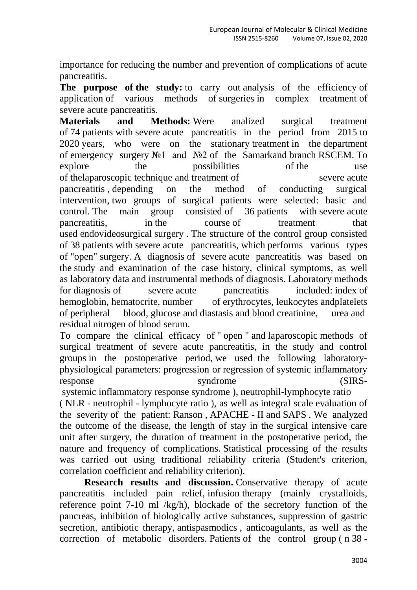importance for reducing the number and prevention of complications of acute pancreatitis.

**The purpose of the study:** to carry out analysis of the efficiency of application of various methods of surgeries in complex treatment of severe acute pancreatitis.

**Materials and Methods:** Were analized surgical treatment of 74 patients with severe acute pancreatitis in the period from 2015 to 2020 years, who were on the stationary treatment in the department of emergency surgery №1 and №2 of the Samarkand branch RSCEM. To explore the possibilities of the use of the laparoscopic technique and treatment of severe acute pancreatitis , depending on the method of conducting surgical intervention, two groups of surgical patients were selected: basic and control. The main group consisted of 36 patients with severe acute pancreatitis, in the course of treatment that used endovideosurgical surgery . The structure of the control group consisted of 38 patients with severe acute pancreatitis, which performs various types of "open" surgery. A diagnosis of severe acute pancreatitis was based on the study and examination of the case history, clinical symptoms, as well as laboratory data and instrumental methods of diagnosis. Laboratory methods for diagnosis of severe acute pancreatitis included: index of hemoglobin, hematocrite, number of erythrocytes, leukocytes and platelets of peripheral blood, glucose and diastasis and blood creatinine, urea and residual nitrogen of blood serum.

To compare the clinical efficacy of " open " and laparoscopic methods of surgical treatment of severe acute pancreatitis, in the study and control groups in the postoperative period, we used the following laboratoryphysiological parameters: progression or regression of systemic inflammatory response syndrome (SIRS-

systemic inflammatory response syndrome ), neutrophil-lymphocyte ratio ( NLR - neutrophil - lymphocyte ratio ), as well as integral scale evaluation of the severity of the patient: Ranson , APACHE - II and SAPS . We analyzed the outcome of the disease, the length of stay in the surgical intensive care unit after surgery, the duration of treatment in the postoperative period, the nature and frequency of complications. Statistical processing of the results was carried out using traditional reliability criteria (Student's criterion, correlation coefficient and reliability criterion).

**Research results and discussion.** Conservative therapy of acute pancreatitis included pain relief, infusion therapy (mainly crystalloids, reference point 7-10 ml /kg/h), blockade of the secretory function of the pancreas, inhibition of biologically active substances, suppression of gastric secretion, antibiotic therapy, antispasmodics , anticoagulants, as well as the correction of metabolic disorders. Patients of the control group ( n 38 -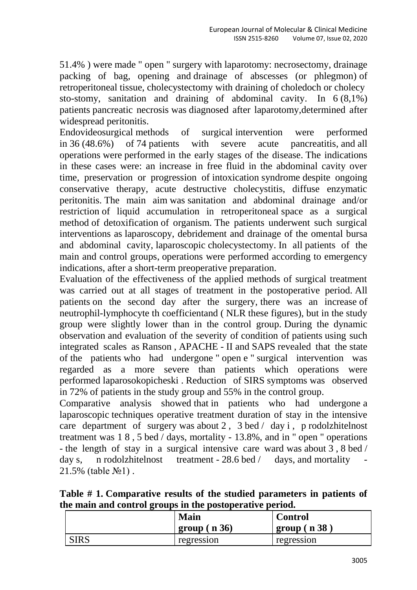51.4% ) were made " open " surgery with laparotomy: necrosectomy, drainage packing of bag, opening and drainage of abscesses (or phlegmon) of retroperitoneal tissue, cholecystectomy with draining of choledoch or cholecy sto-stomy, sanitation and draining of abdominal cavity. In 6 (8,1%) patients pancreatic necrosis was diagnosed after laparotomy,determined after widespread peritonitis.

Endovideosurgical methods of surgical intervention were performed in 36 (48.6%) of 74 patients with severe acute pancreatitis, and all operations were performed in the early stages of the disease. The indications in these cases were: an increase in free fluid in the abdominal cavity over time, preservation or progression of intoxication syndrome despite ongoing conservative therapy, acute destructive cholecystitis, diffuse enzymatic peritonitis. The main aim was sanitation and abdominal drainage and/or restriction of liquid accumulation in retroperitoneal space as a surgical method of detoxification of organism. The patients underwent such surgical interventions as laparoscopy, debridement and drainage of the omental bursa and abdominal cavity, laparoscopic cholecystectomy. In all patients of the main and control groups, operations were performed according to emergency indications, after a short-term preoperative preparation.

Evaluation of the effectiveness of the applied methods of surgical treatment was carried out at all stages of treatment in the postoperative period. All patients on the second day after the surgery, there was an increase of neutrophil-lymphocyte th coefficientand ( NLR these figures), but in the study group were slightly lower than in the control group. During the dynamic observation and evaluation of the severity of condition of patients using such integrated scales as Ranson , APACHE - II and SAPS revealed that the state of the patients who had undergone " open e " surgical intervention was regarded as a more severe than patients which operations were performed laparosokopicheski . Reduction of SIRS symptoms was observed in 72% of patients in the study group and 55% in the control group.

Comparative analysis showed that in patients who had undergone a laparoscopic techniques operative treatment duration of stay in the intensive care department of surgery was about 2 , 3 bed / day i , p rodolzhitelnost treatment was 1 8 , 5 bed / days, mortality - 13.8%, and in " open " operations - the length of stay in a surgical intensive care ward was about 3 , 8 bed / day s, n rodolzhitelnost treatment -  $28.6$  bed / days, and mortality 21.5% (table №1) .

**Table # 1. Comparative results of the studied parameters in patients of the main and control groups in the postoperative period.**

|             | <b>Main</b>         | <b>Control</b> |
|-------------|---------------------|----------------|
|             | $\pm$ group ( n 36) | group(n38)     |
| <b>SIRS</b> | regression          | regression     |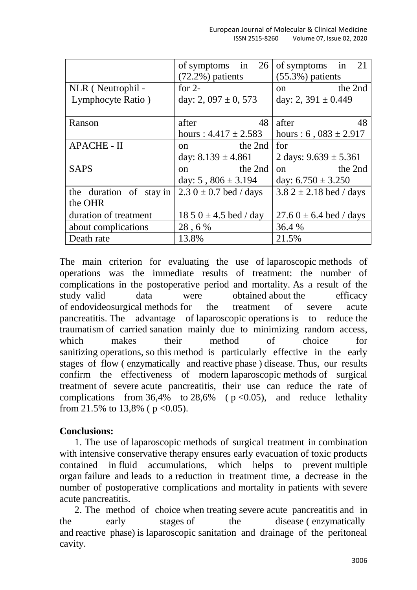|                         | of symptoms in 26         | of symptoms in 21           |
|-------------------------|---------------------------|-----------------------------|
|                         | $(72.2\%)$ patients       | $(55.3\%)$ patients         |
| NLR (Neutrophil -       | for $2-$                  | the 2nd<br><sub>on</sub>    |
| Lymphocyte Ratio)       | day: 2, $097 \pm 0$ , 573 | day: 2, $391 \pm 0.449$     |
|                         |                           |                             |
| Ranson                  | 48<br>after               | after<br>48                 |
|                         | hours: $4.417 \pm 2.583$  | hours : 6, $083 \pm 2.917$  |
| <b>APACHE - II</b>      | the 2nd<br>$\Omega$ n     | for                         |
|                         | day: $8.139 \pm 4.861$    | 2 days: $9.639 \pm 5.361$   |
| <b>SAPS</b>             | the 2nd<br><sub>on</sub>  | the 2nd<br>$^{on}$          |
|                         | day: $5,806 \pm 3.194$    | day: $6.750 \pm 3.250$      |
| the duration of stay in | $2.30 \pm 0.7$ bed / days | 3.8 2 $\pm$ 2.18 bed / days |
| the OHR                 |                           |                             |
| duration of treatment   | $1850 \pm 4.5$ bed / day  | $27.60 \pm 6.4$ bed / days  |
| about complications     | 28,6%                     | 36.4 %                      |
| Death rate              | 13.8%                     | 21.5%                       |

The main criterion for evaluating the use of laparoscopic methods of operations was the immediate results of treatment: the number of complications in the postoperative period and mortality. As a result of the study valid data were obtained about the efficacy of endovideosurgical methods for the treatment of severe acute pancreatitis. The advantage of laparoscopic operations is to reduce the traumatism of carried sanation mainly due to minimizing random access, which makes their method of choice for sanitizing operations, so this method is particularly effective in the early stages of flow ( enzymatically and reactive phase ) disease. Thus, our results confirm the effectiveness of modern laparoscopic methods of surgical treatment of severe acute pancreatitis, their use can reduce the rate of complications from  $36,4\%$  to  $28,6\%$  ( $p < 0.05$ ), and reduce lethality from 21.5% to 13,8% ( $p < 0.05$ ).

# **Conclusions:**

1. The use of laparoscopic methods of surgical treatment in combination with intensive conservative therapy ensures early evacuation of toxic products contained in fluid accumulations, which helps to prevent multiple organ failure and leads to a reduction in treatment time, a decrease in the number of postoperative complications and mortality in patients with severe acute pancreatitis.

2. The method of choice when treating severe acute pancreatitis and in the early stages of the disease ( enzymatically and reactive phase) is laparoscopic sanitation and drainage of the peritoneal cavity.